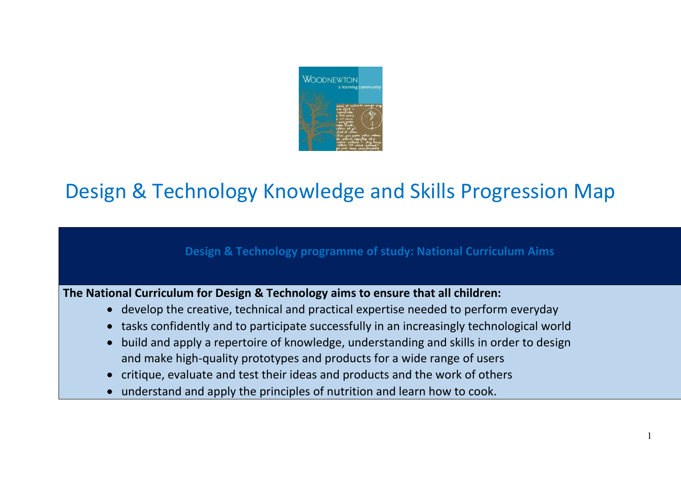

## Design & Technology Knowledge and Skills Progression Map

## **Design & Technology programme of study: National Curriculum Aims**

**The National Curriculum for Design & Technology aims to ensure that all children:** 

- develop the creative, technical and practical expertise needed to perform everyday
- tasks confidently and to participate successfully in an increasingly technological world
- build and apply a repertoire of knowledge, understanding and skills in order to design and make high-quality prototypes and products for a wide range of users
- critique, evaluate and test their ideas and products and the work of others
- understand and apply the principles of nutrition and learn how to cook.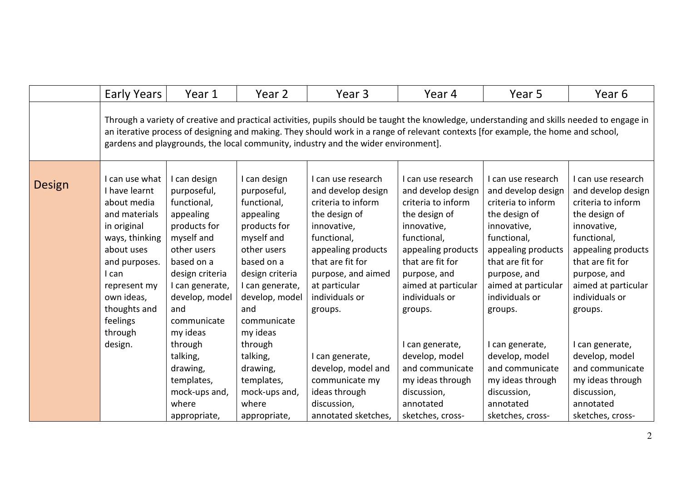|               | <b>Early Years</b>                                                                                                                                                                                                                                                                                                                                                     | Year 1                                                                                                                                                                                                                                                                                                  | Year 2                                                                                                                                                                                                                                                                                                  | Year 3                                                                                                                                                                                                                                                                                                                                        | Year 4                                                                                                                                                                                                                                                                                                                                                | Year 5                                                                                                                                                                                                                                                                                                                                                  | Year 6                                                                                                                                                                                                                                                                                                                                                  |  |  |
|---------------|------------------------------------------------------------------------------------------------------------------------------------------------------------------------------------------------------------------------------------------------------------------------------------------------------------------------------------------------------------------------|---------------------------------------------------------------------------------------------------------------------------------------------------------------------------------------------------------------------------------------------------------------------------------------------------------|---------------------------------------------------------------------------------------------------------------------------------------------------------------------------------------------------------------------------------------------------------------------------------------------------------|-----------------------------------------------------------------------------------------------------------------------------------------------------------------------------------------------------------------------------------------------------------------------------------------------------------------------------------------------|-------------------------------------------------------------------------------------------------------------------------------------------------------------------------------------------------------------------------------------------------------------------------------------------------------------------------------------------------------|---------------------------------------------------------------------------------------------------------------------------------------------------------------------------------------------------------------------------------------------------------------------------------------------------------------------------------------------------------|---------------------------------------------------------------------------------------------------------------------------------------------------------------------------------------------------------------------------------------------------------------------------------------------------------------------------------------------------------|--|--|
|               | Through a variety of creative and practical activities, pupils should be taught the knowledge, understanding and skills needed to engage in<br>an iterative process of designing and making. They should work in a range of relevant contexts [for example, the home and school,<br>gardens and playgrounds, the local community, industry and the wider environment]. |                                                                                                                                                                                                                                                                                                         |                                                                                                                                                                                                                                                                                                         |                                                                                                                                                                                                                                                                                                                                               |                                                                                                                                                                                                                                                                                                                                                       |                                                                                                                                                                                                                                                                                                                                                         |                                                                                                                                                                                                                                                                                                                                                         |  |  |
| <b>Design</b> | I can use what<br>I have learnt<br>about media<br>and materials<br>in original<br>ways, thinking<br>about uses<br>and purposes.<br>I can<br>represent my<br>own ideas,<br>thoughts and<br>feelings<br>through<br>design.                                                                                                                                               | I can design<br>purposeful,<br>functional,<br>appealing<br>products for<br>myself and<br>other users<br>based on a<br>design criteria<br>I can generate,<br>develop, model<br>and<br>communicate<br>my ideas<br>through<br>talking,<br>drawing,<br>templates,<br>mock-ups and,<br>where<br>appropriate, | I can design<br>purposeful,<br>functional,<br>appealing<br>products for<br>myself and<br>other users<br>based on a<br>design criteria<br>I can generate,<br>develop, model<br>and<br>communicate<br>my ideas<br>through<br>talking,<br>drawing,<br>templates,<br>mock-ups and,<br>where<br>appropriate, | I can use research<br>and develop design<br>criteria to inform<br>the design of<br>innovative,<br>functional,<br>appealing products<br>that are fit for<br>purpose, and aimed<br>at particular<br>individuals or<br>groups.<br>I can generate,<br>develop, model and<br>communicate my<br>ideas through<br>discussion,<br>annotated sketches, | I can use research<br>and develop design<br>criteria to inform<br>the design of<br>innovative,<br>functional,<br>appealing products<br>that are fit for<br>purpose, and<br>aimed at particular<br>individuals or<br>groups.<br>can generate,<br>develop, model<br>and communicate<br>my ideas through<br>discussion,<br>annotated<br>sketches, cross- | I can use research<br>and develop design<br>criteria to inform<br>the design of<br>innovative,<br>functional,<br>appealing products<br>that are fit for<br>purpose, and<br>aimed at particular<br>individuals or<br>groups.<br>I can generate,<br>develop, model<br>and communicate<br>my ideas through<br>discussion,<br>annotated<br>sketches, cross- | I can use research<br>and develop design<br>criteria to inform<br>the design of<br>innovative,<br>functional,<br>appealing products<br>that are fit for<br>purpose, and<br>aimed at particular<br>individuals or<br>groups.<br>I can generate,<br>develop, model<br>and communicate<br>my ideas through<br>discussion,<br>annotated<br>sketches, cross- |  |  |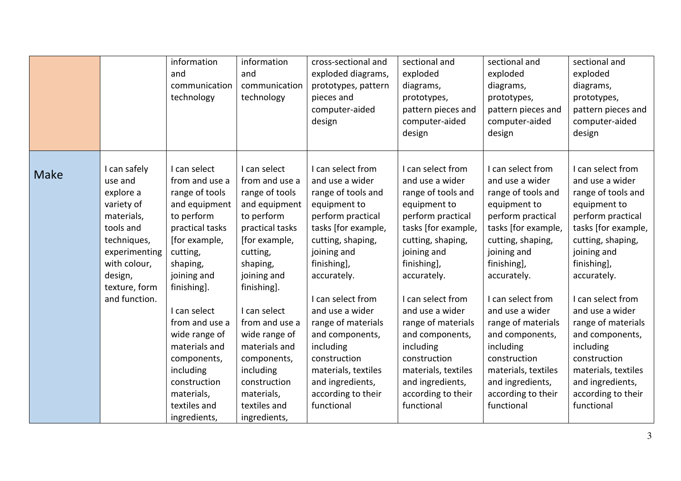|             |                                                                                                                                                                            | information<br>and<br>communication<br>technology                                                                                                                                                                                                                                                                                       | information<br>and<br>communication<br>technology                                                                                                                                                                                                                                                                                       | cross-sectional and<br>exploded diagrams,<br>prototypes, pattern<br>pieces and<br>computer-aided<br>design                                                                                                                                                                                                                                                                            | sectional and<br>exploded<br>diagrams,<br>prototypes,<br>pattern pieces and<br>computer-aided<br>design                                                                                                                                                                                                                                                                               | sectional and<br>exploded<br>diagrams,<br>prototypes,<br>pattern pieces and<br>computer-aided<br>design                                                                                                                                                                                                                                                                               | sectional and<br>exploded<br>diagrams,<br>prototypes,<br>pattern pieces and<br>computer-aided<br>design                                                                                                                                                                                                                                                                               |
|-------------|----------------------------------------------------------------------------------------------------------------------------------------------------------------------------|-----------------------------------------------------------------------------------------------------------------------------------------------------------------------------------------------------------------------------------------------------------------------------------------------------------------------------------------|-----------------------------------------------------------------------------------------------------------------------------------------------------------------------------------------------------------------------------------------------------------------------------------------------------------------------------------------|---------------------------------------------------------------------------------------------------------------------------------------------------------------------------------------------------------------------------------------------------------------------------------------------------------------------------------------------------------------------------------------|---------------------------------------------------------------------------------------------------------------------------------------------------------------------------------------------------------------------------------------------------------------------------------------------------------------------------------------------------------------------------------------|---------------------------------------------------------------------------------------------------------------------------------------------------------------------------------------------------------------------------------------------------------------------------------------------------------------------------------------------------------------------------------------|---------------------------------------------------------------------------------------------------------------------------------------------------------------------------------------------------------------------------------------------------------------------------------------------------------------------------------------------------------------------------------------|
| <b>Make</b> | I can safely<br>use and<br>explore a<br>variety of<br>materials,<br>tools and<br>techniques,<br>experimenting<br>with colour,<br>design,<br>texture, form<br>and function. | I can select<br>from and use a<br>range of tools<br>and equipment<br>to perform<br>practical tasks<br>[for example,<br>cutting,<br>shaping,<br>joining and<br>finishing].<br>I can select<br>from and use a<br>wide range of<br>materials and<br>components,<br>including<br>construction<br>materials,<br>textiles and<br>ingredients, | I can select<br>from and use a<br>range of tools<br>and equipment<br>to perform<br>practical tasks<br>[for example,<br>cutting,<br>shaping,<br>joining and<br>finishing].<br>I can select<br>from and use a<br>wide range of<br>materials and<br>components,<br>including<br>construction<br>materials,<br>textiles and<br>ingredients, | I can select from<br>and use a wider<br>range of tools and<br>equipment to<br>perform practical<br>tasks [for example,<br>cutting, shaping,<br>joining and<br>finishing],<br>accurately.<br>I can select from<br>and use a wider<br>range of materials<br>and components,<br>including<br>construction<br>materials, textiles<br>and ingredients,<br>according to their<br>functional | I can select from<br>and use a wider<br>range of tools and<br>equipment to<br>perform practical<br>tasks [for example,<br>cutting, shaping,<br>joining and<br>finishing],<br>accurately.<br>I can select from<br>and use a wider<br>range of materials<br>and components,<br>including<br>construction<br>materials, textiles<br>and ingredients,<br>according to their<br>functional | I can select from<br>and use a wider<br>range of tools and<br>equipment to<br>perform practical<br>tasks [for example,<br>cutting, shaping,<br>joining and<br>finishing],<br>accurately.<br>I can select from<br>and use a wider<br>range of materials<br>and components,<br>including<br>construction<br>materials, textiles<br>and ingredients,<br>according to their<br>functional | I can select from<br>and use a wider<br>range of tools and<br>equipment to<br>perform practical<br>tasks [for example,<br>cutting, shaping,<br>joining and<br>finishing],<br>accurately.<br>I can select from<br>and use a wider<br>range of materials<br>and components,<br>including<br>construction<br>materials, textiles<br>and ingredients,<br>according to their<br>functional |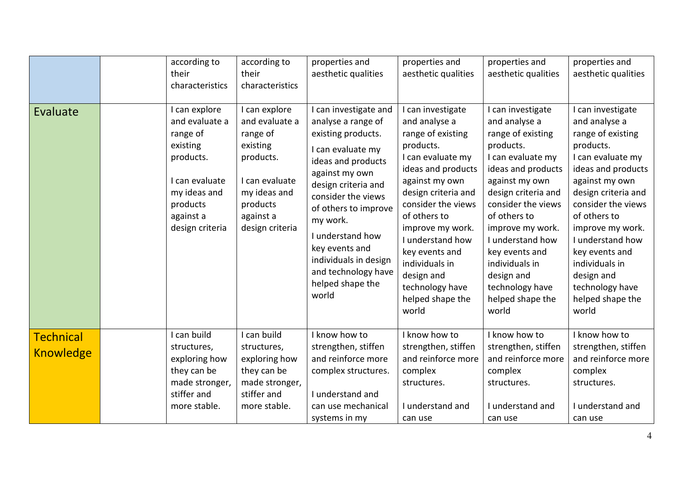| Evaluate                             | according to<br>their<br>characteristics<br>I can explore<br>and evaluate a<br>range of<br>existing<br>products.<br>I can evaluate<br>my ideas and<br>products<br>against a<br>design criteria | according to<br>their<br>characteristics<br>I can explore<br>and evaluate a<br>range of<br>existing<br>products.<br>I can evaluate<br>my ideas and<br>products<br>against a<br>design criteria | properties and<br>aesthetic qualities<br>I can investigate and<br>analyse a range of<br>existing products.<br>I can evaluate my<br>ideas and products<br>against my own<br>design criteria and<br>consider the views<br>of others to improve<br>my work.<br>I understand how<br>key events and<br>individuals in design<br>and technology have<br>helped shape the<br>world | properties and<br>aesthetic qualities<br>can investigate<br>and analyse a<br>range of existing<br>products.<br>I can evaluate my<br>ideas and products<br>against my own<br>design criteria and<br>consider the views<br>of others to<br>improve my work.<br>I understand how<br>key events and<br>individuals in<br>design and<br>technology have<br>helped shape the<br>world | properties and<br>aesthetic qualities<br>I can investigate<br>and analyse a<br>range of existing<br>products.<br>I can evaluate my<br>ideas and products<br>against my own<br>design criteria and<br>consider the views<br>of others to<br>improve my work.<br>I understand how<br>key events and<br>individuals in<br>design and<br>technology have<br>helped shape the<br>world | properties and<br>aesthetic qualities<br>I can investigate<br>and analyse a<br>range of existing<br>products.<br>I can evaluate my<br>ideas and products<br>against my own<br>design criteria and<br>consider the views<br>of others to<br>improve my work.<br>I understand how<br>key events and<br>individuals in<br>design and<br>technology have<br>helped shape the<br>world |
|--------------------------------------|------------------------------------------------------------------------------------------------------------------------------------------------------------------------------------------------|------------------------------------------------------------------------------------------------------------------------------------------------------------------------------------------------|-----------------------------------------------------------------------------------------------------------------------------------------------------------------------------------------------------------------------------------------------------------------------------------------------------------------------------------------------------------------------------|---------------------------------------------------------------------------------------------------------------------------------------------------------------------------------------------------------------------------------------------------------------------------------------------------------------------------------------------------------------------------------|-----------------------------------------------------------------------------------------------------------------------------------------------------------------------------------------------------------------------------------------------------------------------------------------------------------------------------------------------------------------------------------|-----------------------------------------------------------------------------------------------------------------------------------------------------------------------------------------------------------------------------------------------------------------------------------------------------------------------------------------------------------------------------------|
| <b>Technical</b><br><b>Knowledge</b> | I can build<br>structures,<br>exploring how<br>they can be<br>made stronger,<br>stiffer and<br>more stable.                                                                                    | I can build<br>structures,<br>exploring how<br>they can be<br>made stronger,<br>stiffer and<br>more stable.                                                                                    | I know how to<br>strengthen, stiffen<br>and reinforce more<br>complex structures.<br>I understand and<br>can use mechanical<br>systems in my                                                                                                                                                                                                                                | I know how to<br>strengthen, stiffen<br>and reinforce more<br>complex<br>structures.<br>I understand and<br>can use                                                                                                                                                                                                                                                             | I know how to<br>strengthen, stiffen<br>and reinforce more<br>complex<br>structures.<br>I understand and<br>can use                                                                                                                                                                                                                                                               | I know how to<br>strengthen, stiffen<br>and reinforce more<br>complex<br>structures.<br>I understand and<br>can use                                                                                                                                                                                                                                                               |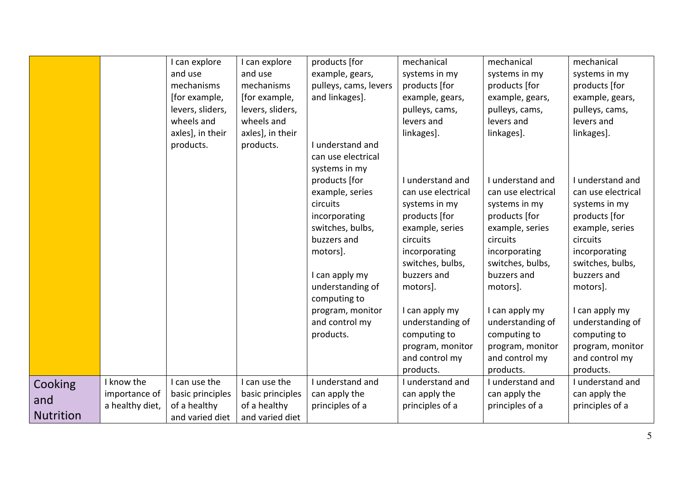|                  |                 | I can explore    | I can explore    | products [for         | mechanical         | mechanical         | mechanical         |
|------------------|-----------------|------------------|------------------|-----------------------|--------------------|--------------------|--------------------|
|                  |                 | and use          | and use          | example, gears,       | systems in my      | systems in my      | systems in my      |
|                  |                 | mechanisms       | mechanisms       | pulleys, cams, levers | products [for      | products [for      | products [for      |
|                  |                 | [for example,    | [for example,    | and linkages].        | example, gears,    | example, gears,    | example, gears,    |
|                  |                 | levers, sliders, | levers, sliders, |                       | pulleys, cams,     | pulleys, cams,     | pulleys, cams,     |
|                  |                 | wheels and       | wheels and       |                       | levers and         | levers and         | levers and         |
|                  |                 | axles], in their | axles], in their |                       | linkages].         | linkages].         | linkages].         |
|                  |                 | products.        | products.        | I understand and      |                    |                    |                    |
|                  |                 |                  |                  | can use electrical    |                    |                    |                    |
|                  |                 |                  |                  | systems in my         |                    |                    |                    |
|                  |                 |                  |                  | products [for         | I understand and   | I understand and   | I understand and   |
|                  |                 |                  |                  | example, series       | can use electrical | can use electrical | can use electrical |
|                  |                 |                  |                  | circuits              | systems in my      | systems in my      | systems in my      |
|                  |                 |                  |                  | incorporating         | products [for      | products [for      | products [for      |
|                  |                 |                  |                  | switches, bulbs,      | example, series    | example, series    | example, series    |
|                  |                 |                  |                  | buzzers and           | circuits           | circuits           | circuits           |
|                  |                 |                  |                  | motors].              | incorporating      | incorporating      | incorporating      |
|                  |                 |                  |                  |                       | switches, bulbs,   | switches, bulbs,   | switches, bulbs,   |
|                  |                 |                  |                  | I can apply my        | buzzers and        | buzzers and        | buzzers and        |
|                  |                 |                  |                  | understanding of      | motors].           | motors].           | motors].           |
|                  |                 |                  |                  | computing to          |                    |                    |                    |
|                  |                 |                  |                  | program, monitor      | I can apply my     | I can apply my     | I can apply my     |
|                  |                 |                  |                  | and control my        | understanding of   | understanding of   | understanding of   |
|                  |                 |                  |                  | products.             | computing to       | computing to       | computing to       |
|                  |                 |                  |                  |                       | program, monitor   | program, monitor   | program, monitor   |
|                  |                 |                  |                  |                       | and control my     | and control my     | and control my     |
|                  |                 |                  |                  |                       | products.          | products.          | products.          |
| Cooking          | I know the      | I can use the    | I can use the    | I understand and      | I understand and   | I understand and   | I understand and   |
| and              | importance of   | basic principles | basic principles | can apply the         | can apply the      | can apply the      | can apply the      |
|                  | a healthy diet, | of a healthy     | of a healthy     | principles of a       | principles of a    | principles of a    | principles of a    |
| <b>Nutrition</b> |                 | and varied diet  | and varied diet  |                       |                    |                    |                    |